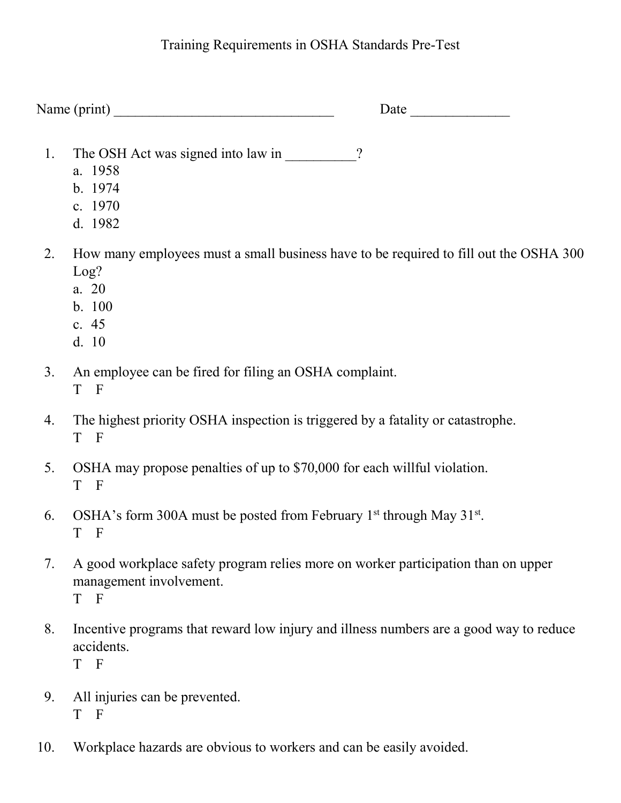## Training Requirements in OSHA Standards Pre-Test

Name (print) \_\_\_\_\_\_\_\_\_\_\_\_\_\_\_\_\_\_\_\_\_\_\_\_\_\_\_\_\_\_\_ Date \_\_\_\_\_\_\_\_\_\_\_\_\_\_

- 1. The OSH Act was signed into law in \_\_\_\_\_\_\_\_\_?
	- a. 1958
	- b. 1974
	- c. 1970
	- d. 1982
- 2. How many employees must a small business have to be required to fill out the OSHA 300 Log?
	- a. 20
	- b. 100
	- c. 45
	- d. 10
- 3. An employee can be fired for filing an OSHA complaint. T F
- 4. The highest priority OSHA inspection is triggered by a fatality or catastrophe. T F
- 5. OSHA may propose penalties of up to \$70,000 for each willful violation. T F
- 6. OSHA's form 300A must be posted from February 1<sup>st</sup> through May  $31<sup>st</sup>$ . T F
- 7. A good workplace safety program relies more on worker participation than on upper management involvement. T F
- 8. Incentive programs that reward low injury and illness numbers are a good way to reduce accidents. T F
- 9. All injuries can be prevented. T F
- 10. Workplace hazards are obvious to workers and can be easily avoided.